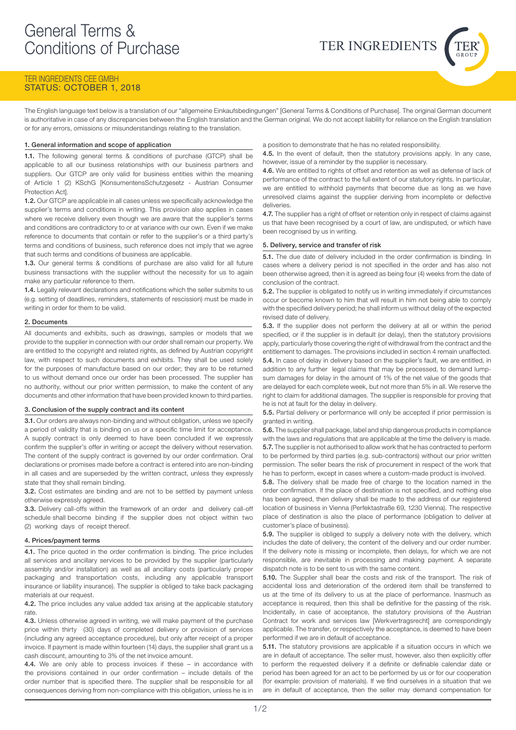

# TER INGREDIENTS CEE GMBH STATUS: OCTOBER 1, 2018

The English language text below is a translation of our "allgemeine Einkaufsbedingungen" [General Terms & Conditions of Purchase]. The original German document is authoritative in case of any discrepancies between the English translation and the German original. We do not accept liability for reliance on the English translation or for any errors, omissions or misunderstandings relating to the translation.

# 1. General information and scope of application

1.1. The following general terms & conditions of purchase (GTCP) shall be applicable to all our business relationships with our business partners and suppliers. Our GTCP are only valid for business entities within the meaning of Article 1 (2) KSchG [KonsumentensSchutzgesetz - Austrian Consumer Protection Act].

1.2. Our GTCP are applicable in all cases unless we specifically acknowledge the supplier's terms and conditions in writing. This provision also applies in cases where we receive delivery even though we are aware that the supplier's terms and conditions are contradictory to or at variance with our own. Even if we make reference to documents that contain or refer to the supplier's or a third party's terms and conditions of business, such reference does not imply that we agree that such terms and conditions of business are applicable.

1.3. Our general terms & conditions of purchase are also valid for all future business transactions with the supplier without the necessity for us to again make any particular reference to them.

1.4. Legally relevant declarations and notifications which the seller submits to us (e.g. setting of deadlines, reminders, statements of rescission) must be made in writing in order for them to be valid.

## 2. Documents

All documents and exhibits, such as drawings, samples or models that we provide to the supplier in connection with our order shall remain our property. We are entitled to the copyright and related rights, as defined by Austrian copyright law, with respect to such documents and exhibits. They shall be used solely for the purposes of manufacture based on our order; they are to be returned to us without demand once our order has been processed. The supplier has no authority, without our prior written permission, to make the content of any documents and other information that have been provided known to third parties.

### 3. Conclusion of the supply contract and its content

3.1. Our orders are always non-binding and without obligation, unless we specify a period of validity that is binding on us or a specific time limit for acceptance. A supply contract is only deemed to have been concluded if we expressly confirm the supplier's offer in writing or accept the delivery without reservation. The content of the supply contract is governed by our order confirmation. Oral declarations or promises made before a contract is entered into are non-binding in all cases and are superseded by the written contract, unless they expressly state that they shall remain binding.

3.2. Cost estimates are binding and are not to be settled by payment unless otherwise expressly agreed.

3.3. Delivery call-offs within the framework of an order and delivery call-off schedule shall become binding if the supplier does not object within two (2) working days of receipt thereof.

### 4. Prices/payment terms

4.1. The price quoted in the order confirmation is binding. The price includes all services and ancillary services to be provided by the supplier (particularly assembly and/or installation) as well as all ancillary costs (particularly proper packaging and transportation costs, including any applicable transport insurance or liability insurance). The supplier is obliged to take back packaging materials at our request.

4.2. The price includes any value added tax arising at the applicable statutory rate

4.3. Unless otherwise agreed in writing, we will make payment of the purchase price within thirty (30) days of completed delivery or provision of services (including any agreed acceptance procedure), but only after receipt of a proper invoice. If payment is made within fourteen (14) days, the supplier shall grant us a cash discount, amounting to 3% of the net invoice amount.

4.4. We are only able to process invoices if these - in accordance with the provisions contained in our order confirmation – include details of the order number that is specified there. The supplier shall be responsible for all consequences deriving from non-compliance with this obligation, unless he is in a position to demonstrate that he has no related responsibility.

4.5. In the event of default, then the statutory provisions apply. In any case, however, issue of a reminder by the supplier is necessary.

4.6. We are entitled to rights of offset and retention as well as defense of lack of performance of the contract to the full extent of our statutory rights. In particular, we are entitled to withhold payments that become due as long as we have unresolved claims against the supplier deriving from incomplete or defective deliveries.

4.7. The supplier has a right of offset or retention only in respect of claims against us that have been recognised by a court of law, are undisputed, or which have been recognised by us in writing.

## 5. Delivery, service and transfer of risk

5.1. The due date of delivery included in the order confirmation is binding. In cases where a delivery period is not specified in the order and has also not been otherwise agreed, then it is agreed as being four (4) weeks from the date of conclusion of the contract.

5.2. The supplier is obligated to notify us in writing immediately if circumstances occur or become known to him that will result in him not being able to comply with the specified delivery period; he shall inform us without delay of the expected revised date of delivery.

5.3. If the supplier does not perform the delivery at all or within the period specified, or if the supplier is in default (or delay), then the statutory provisions apply, particularly those covering the right of withdrawal from the contract and the entitlement to damages. The provisions included in section 4 remain unaffected. 5.4. In case of delay in delivery based on the supplier's fault, we are entitled, in addition to any further legal claims that may be processed, to demand lumpsum damages for delay in the amount of 1% of the net value of the goods that are delayed for each complete week, but not more than 5% in all. We reserve the right to claim for additional damages. The supplier is responsible for proving that he is not at fault for the delay in delivery.

5.5. Partial delivery or performance will only be accepted if prior permission is granted in writing.

5.6. The supplier shall package, label and ship dangerous products in compliance with the laws and regulations that are applicable at the time the delivery is made. 5.7. The supplier is not authorised to allow work that he has contracted to perform to be performed by third parties (e.g. sub-contractors) without our prior written permission. The seller bears the risk of procurement in respect of the work that he has to perform, except in cases where a custom-made product is involved.

5.8. The delivery shall be made free of charge to the location named in the order confirmation. If the place of destination is not specified, and nothing else has been agreed, then delivery shall be made to the address of our registered location of business in Vienna (Perfektastraße 69, 1230 Vienna). The respective place of destination is also the place of performance (obligation to deliver at customer's place of business).

5.9. The supplier is obliged to supply a delivery note with the delivery, which includes the date of delivery, the content of the delivery and our order number. If the delivery note is missing or incomplete, then delays, for which we are not responsible, are inevitable in processing and making payment. A separate dispatch note is to be sent to us with the same content.

5.10. The Supplier shall bear the costs and risk of the transport. The risk of accidental loss and deterioration of the ordered item shall be transferred to us at the time of its delivery to us at the place of performance. Inasmuch as acceptance is required, then this shall be definitive for the passing of the risk. Incidentally, in case of acceptance, the statutory provisions of the Austrian Contract for work and services law [Werkvertragsrecht] are correspondingly applicable. The transfer, or respectively the acceptance, is deemed to have been performed if we are in default of acceptance.

5.11. The statutory provisions are applicable if a situation occurs in which we are in default of acceptance. The seller must, however, also then explicitly offer to perform the requested delivery if a definite or definable calendar date or period has been agreed for an act to be performed by us or for our cooperation (for example: provision of materials). If we find ourselves in a situation that we are in default of acceptance, then the seller may demand compensation for